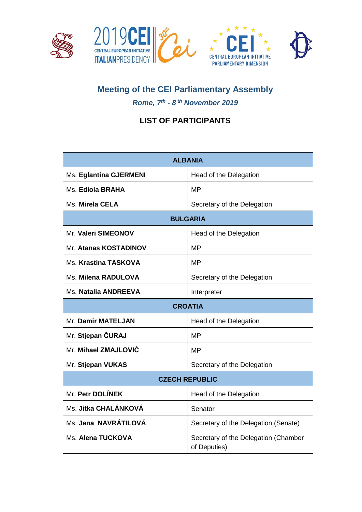

## **Meeting of the CEI Parliamentary Assembly**

*Rome, 7th - 8 th November 2019*

## **LIST OF PARTICIPANTS**

| <b>ALBANIA</b>         |                                                      |  |
|------------------------|------------------------------------------------------|--|
| Ms. Eglantina GJERMENI | Head of the Delegation                               |  |
| Ms. Ediola BRAHA       | <b>MP</b>                                            |  |
| Ms. Mirela CELA        | Secretary of the Delegation                          |  |
| <b>BULGARIA</b>        |                                                      |  |
| Mr. Valeri SIMEONOV    | Head of the Delegation                               |  |
| Mr. Atanas KOSTADINOV  | <b>MP</b>                                            |  |
| Ms. Krastina TASKOVA   | <b>MP</b>                                            |  |
| Ms. Milena RADULOVA    | Secretary of the Delegation                          |  |
| Ms. Natalia ANDREEVA   | Interpreter                                          |  |
| <b>CROATIA</b>         |                                                      |  |
| Mr. Damir MATELJAN     | Head of the Delegation                               |  |
| Mr. Stjepan ČURAJ      | <b>MP</b>                                            |  |
| Mr. Mihael ZMAJLOVIĆ   | <b>MP</b>                                            |  |
| Mr. Stjepan VUKAS      | Secretary of the Delegation                          |  |
| <b>CZECH REPUBLIC</b>  |                                                      |  |
| Mr. Petr DOLÍNEK       | Head of the Delegation                               |  |
| Ms. Jitka CHALÁNKOVÁ   | Senator                                              |  |
| Ms. Jana NAVRÁTILOVÁ   | Secretary of the Delegation (Senate)                 |  |
| Ms. Alena TUCKOVA      | Secretary of the Delegation (Chamber<br>of Deputies) |  |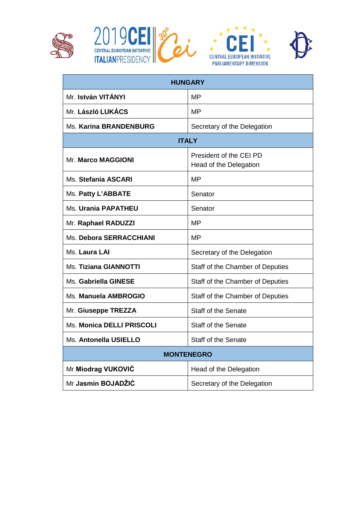







| <b>HUNGARY</b>            |                                                   |  |
|---------------------------|---------------------------------------------------|--|
| Mr. István VITÁNYI        | MP                                                |  |
| Mr. László LUKÁCS         | <b>MP</b>                                         |  |
| Ms. Karina BRANDENBURG    | Secretary of the Delegation                       |  |
| <b>ITALY</b>              |                                                   |  |
| Mr. Marco MAGGIONI        | President of the CEI PD<br>Head of the Delegation |  |
| Ms. Stefania ASCARI       | <b>MP</b>                                         |  |
| Ms. Patty L'ABBATE        | Senator                                           |  |
| Ms. Urania PAPATHEU       | Senator                                           |  |
| Mr. Raphael RADUZZI       | МP                                                |  |
| Ms. Debora SERRACCHIANI   | <b>MP</b>                                         |  |
| Ms. Laura LAI             | Secretary of the Delegation                       |  |
| Ms. Tiziana GIANNOTTI     | Staff of the Chamber of Deputies                  |  |
| Ms. Gabriella GINESE      | Staff of the Chamber of Deputies                  |  |
| Ms. Manuela AMBROGIO      | Staff of the Chamber of Deputies                  |  |
| Mr. Giuseppe TREZZA       | <b>Staff of the Senate</b>                        |  |
| Ms. Monica DELLI PRISCOLI | <b>Staff of the Senate</b>                        |  |
| Ms. Antonella USIELLO     | <b>Staff of the Senate</b>                        |  |
| <b>MONTENEGRO</b>         |                                                   |  |
| Mr Miodrag VUKOVIĆ        | Head of the Delegation                            |  |
| Mr Jasmin BOJADŽIĆ        | Secretary of the Delegation                       |  |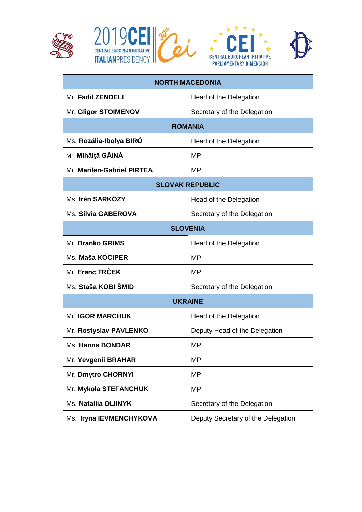







| <b>NORTH MACEDONIA</b>     |                                    |  |
|----------------------------|------------------------------------|--|
| Mr. Fadil ZENDELI          | Head of the Delegation             |  |
| Mr. Gligor STOIMENOV       | Secretary of the Delegation        |  |
| <b>ROMANIA</b>             |                                    |  |
| Ms. Rozália-Ibolya BIRÓ    | Head of the Delegation             |  |
| Mr. Mihăiță GĂINĂ          | <b>MP</b>                          |  |
| Mr. Marilen-Gabriel PIRTEA | MP                                 |  |
| <b>SLOVAK REPUBLIC</b>     |                                    |  |
| Ms. Irén SARKÖZY           | Head of the Delegation             |  |
| Ms. Silvia GABEROVA        | Secretary of the Delegation        |  |
| <b>SLOVENIA</b>            |                                    |  |
| Mr. Branko GRIMS           | Head of the Delegation             |  |
| Ms. Maša KOCIPER           | <b>MP</b>                          |  |
| Mr. Franc TRČEK            | <b>MP</b>                          |  |
| Ms. Staša KOBI ŠMID        | Secretary of the Delegation        |  |
| <b>UKRAINE</b>             |                                    |  |
| Mr. IGOR MARCHUK           | Head of the Delegation             |  |
| Mr. Rostyslav PAVLENKO     | Deputy Head of the Delegation      |  |
| Ms. Hanna BONDAR           | <b>MP</b>                          |  |
| Mr. Yevgenii BRAHAR        | MP                                 |  |
| Mr. Dmytro CHORNYI         | MP                                 |  |
| Mr. Mykola STEFANCHUK      | <b>MP</b>                          |  |
| Ms. Nataliia OLIINYK       | Secretary of the Delegation        |  |
| Ms. Iryna IEVMENCHYKOVA    | Deputy Secretary of the Delegation |  |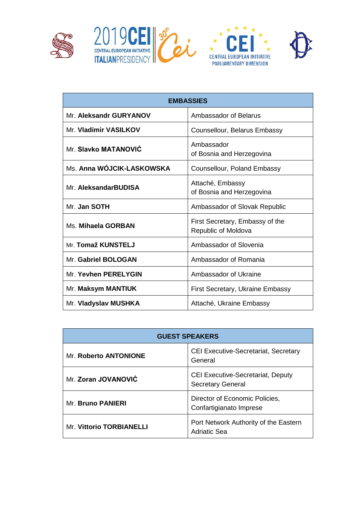





| <b>EMBASSIES</b>          |                                                        |  |
|---------------------------|--------------------------------------------------------|--|
| Mr. Aleksandr GURYANOV    | Ambassador of Belarus                                  |  |
| Mr. Vladimir VASILKOV     | Counsellour, Belarus Embassy                           |  |
| Mr. Slavko MATANOVIĆ      | Ambassador<br>of Bosnia and Herzegovina                |  |
| Ms. Anna WÓJCIK-LASKOWSKA | Counsellour, Poland Embassy                            |  |
| Mr. AleksandarBUDISA      | Attaché, Embassy<br>of Bosnia and Herzegovina          |  |
| Mr. Jan SOTH              | Ambassador of Slovak Republic                          |  |
| Ms. Mihaela GORBAN        | First Secretary, Embassy of the<br>Republic of Moldova |  |
| Mr. Tomaž KUNSTELJ        | Ambassador of Slovenia                                 |  |
| Mr. Gabriel BOLOGAN       | Ambassador of Romania                                  |  |
| Mr. Yevhen PERELYGIN      | Ambassador of Ukraine                                  |  |
| Mr. Maksym MANTIUK        | First Secretary, Ukraine Embassy                       |  |
| Mr. Vladyslav MUSHKA      | Attaché, Ukraine Embassy                               |  |

| <b>GUEST SPEAKERS</b>    |                                                                      |  |
|--------------------------|----------------------------------------------------------------------|--|
| Mr. Roberto ANTONIONE    | <b>CEI Executive-Secretariat, Secretary</b><br>General               |  |
| Mr. Zoran JOVANOVIĆ      | <b>CEI Executive-Secretariat, Deputy</b><br><b>Secretary General</b> |  |
| Mr. Bruno PANIERI        | Director of Economic Policies,<br>Confartigianato Imprese            |  |
| Mr. Vittorio TORBIANELLI | Port Network Authority of the Eastern<br><b>Adriatic Sea</b>         |  |